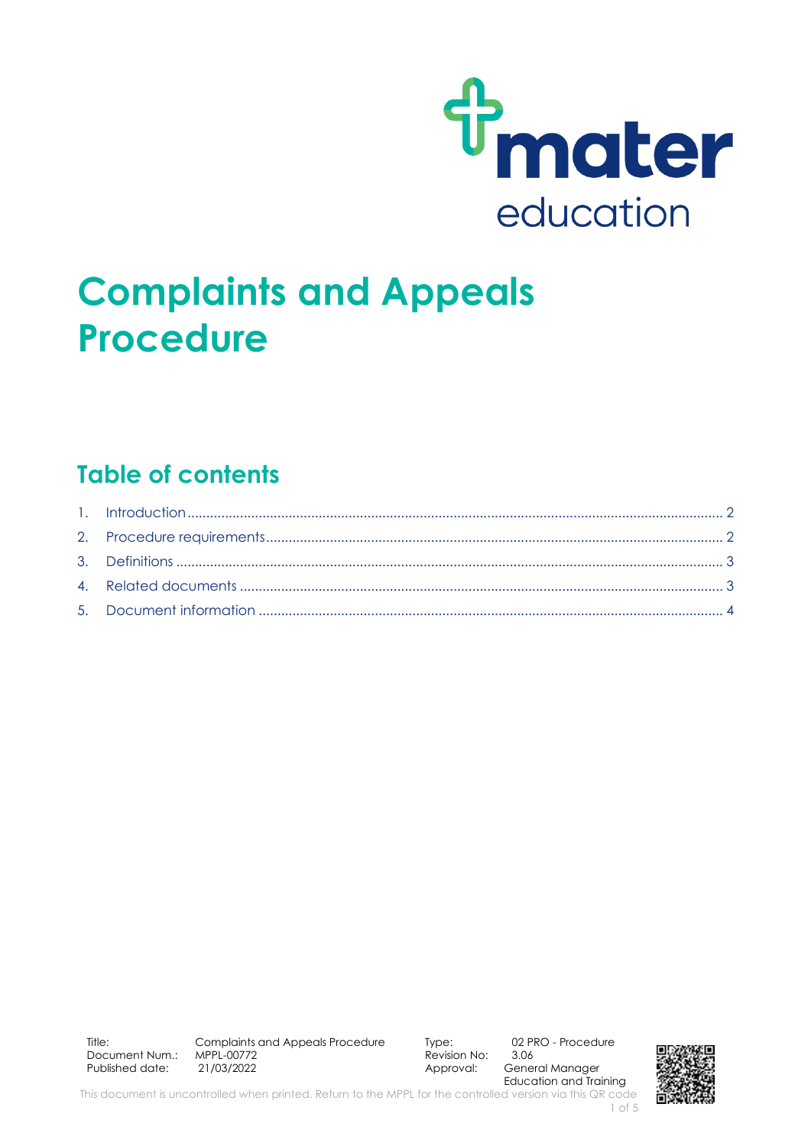

# **Complaints and Appeals Procedure**

### **Table of contents**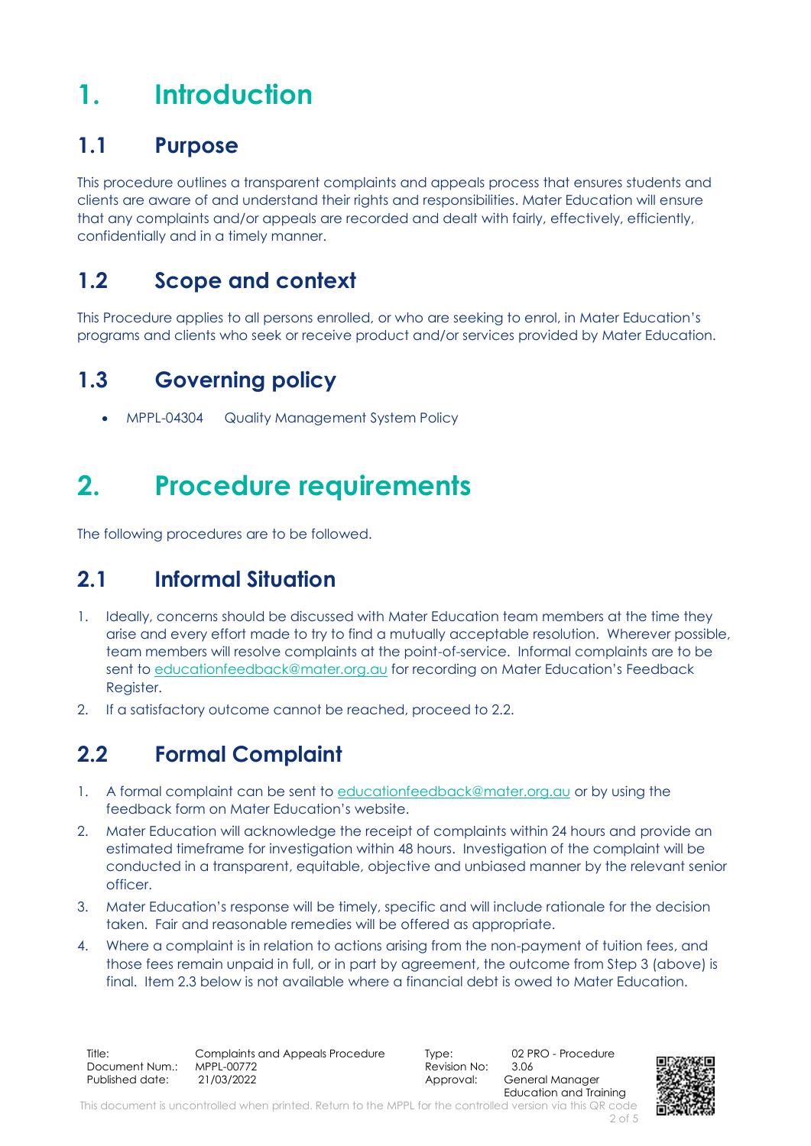## <span id="page-1-0"></span>**1. Introduction**

### **1.1 Purpose**

This procedure outlines a transparent complaints and appeals process that ensures students and clients are aware of and understand their rights and responsibilities. Mater Education will ensure that any complaints and/or appeals are recorded and dealt with fairly, effectively, efficiently, confidentially and in a timely manner.

### **1.2 Scope and context**

This Procedure applies to all persons enrolled, or who are seeking to enrol, in Mater Education's programs and clients who seek or receive product and/or services provided by Mater Education.

### **1.3 Governing policy**

• MPPL-04304 Quality Management System Policy

## <span id="page-1-1"></span>**2. Procedure requirements**

The following procedures are to be followed.

### **2.1 Informal Situation**

- 1. Ideally, concerns should be discussed with Mater Education team members at the time they arise and every effort made to try to find a mutually acceptable resolution. Wherever possible, team members will resolve complaints at the point-of-service. Informal complaints are to be sent to [educationfeedback@mater.org.au](mailto:educationfeedback@mater.org.au) for recording on Mater Education's Feedback Register.
- 2. If a satisfactory outcome cannot be reached, proceed to 2.2.

### **2.2 Formal Complaint**

- 1. A formal complaint can be sent t[o educationfeedback@mater.org.au](mailto:educationfeedback@mater.org.au) or by using the feedback form on Mater Education's website.
- 2. Mater Education will acknowledge the receipt of complaints within 24 hours and provide an estimated timeframe for investigation within 48 hours. Investigation of the complaint will be conducted in a transparent, equitable, objective and unbiased manner by the relevant senior officer.
- 3. Mater Education's response will be timely, specific and will include rationale for the decision taken. Fair and reasonable remedies will be offered as appropriate.
- 4. Where a complaint is in relation to actions arising from the non-payment of tuition fees, and those fees remain unpaid in full, or in part by agreement, the outcome from Step 3 (above) is final. Item 2.3 below is not available where a financial debt is owed to Mater Education.

Title: Complaints and Appeals Procedure Type: 02 PRO - Procedure<br>Document Num.: MPPL-00772 Revision No: 3.06 Document Num.: Published date: 21/03/2022 2010 2010 2010 Approval: General Manager

Education and Training

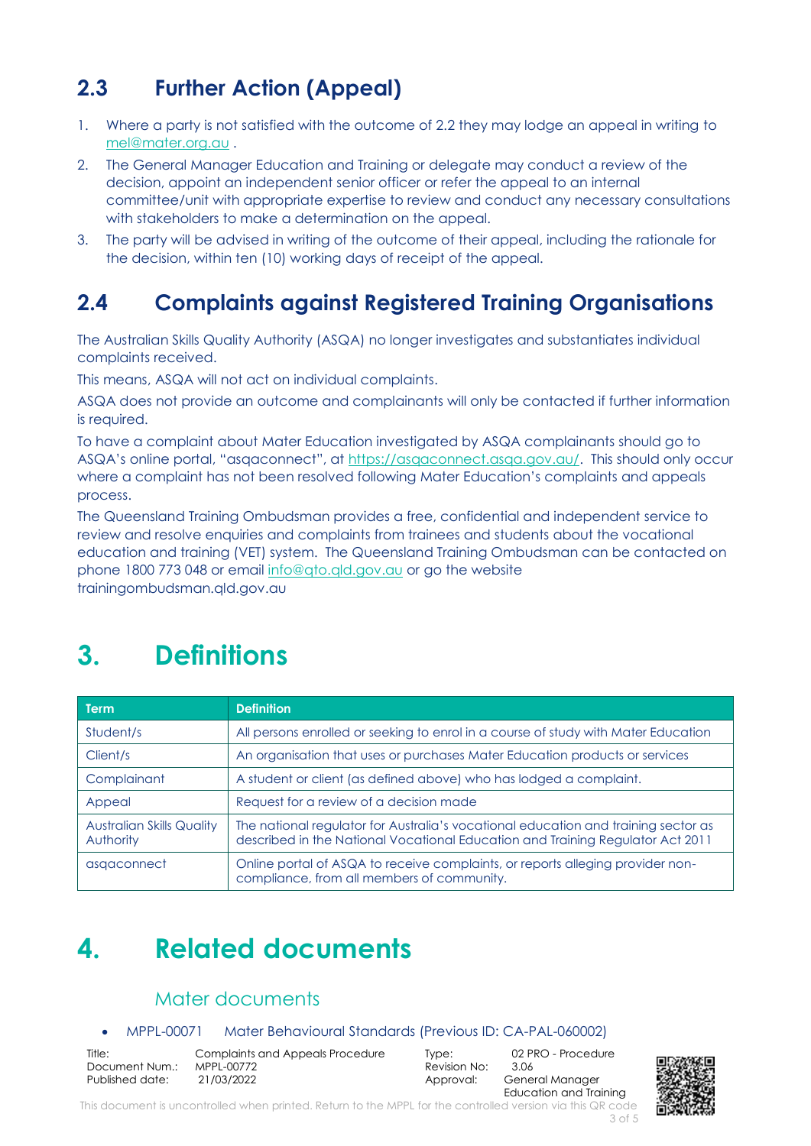### **2.3 Further Action (Appeal)**

- 1. Where a party is not satisfied with the outcome of 2.2 they may lodge an appeal in writing to [mel@mater.org.au](mailto:mel@mater.org.au) .
- 2. The General Manager Education and Training or delegate may conduct a review of the decision, appoint an independent senior officer or refer the appeal to an internal committee/unit with appropriate expertise to review and conduct any necessary consultations with stakeholders to make a determination on the appeal.
- 3. The party will be advised in writing of the outcome of their appeal, including the rationale for the decision, within ten (10) working days of receipt of the appeal.

### **2.4 Complaints against Registered Training Organisations**

The Australian Skills Quality Authority (ASQA) no longer investigates and substantiates individual complaints received.

This means, ASQA will not act on individual complaints.

ASQA does not provide an outcome and complainants will only be contacted if further information is required.

To have a complaint about Mater Education investigated by ASQA complainants should go to ASQA's online portal, "asqaconnect", at [https://asqaconnect.asqa.gov.au/.](https://asqaconnect.asqa.gov.au/) This should only occur where a complaint has not been resolved following Mater Education's complaints and appeals process.

The Queensland Training Ombudsman provides a free, confidential and independent service to review and resolve enquiries and complaints from trainees and students about the vocational education and training (VET) system. The Queensland Training Ombudsman can be contacted on phone 1800 773 048 or email [info@qto.qld.gov.au](mailto:info@qto.qld.gov.au) or go the website trainingombudsman.qld.gov.au

### <span id="page-2-0"></span>**3. Definitions**

| <b>Term</b>                                   | <b>Definition</b>                                                                                                                                                    |  |  |
|-----------------------------------------------|----------------------------------------------------------------------------------------------------------------------------------------------------------------------|--|--|
| Student/s                                     | All persons enrolled or seeking to enrol in a course of study with Mater Education                                                                                   |  |  |
| Client/s                                      | An organisation that uses or purchases Mater Education products or services                                                                                          |  |  |
| Complainant                                   | A student or client (as defined above) who has lodged a complaint.                                                                                                   |  |  |
| Appeal                                        | Request for a review of a decision made                                                                                                                              |  |  |
| <b>Australian Skills Quality</b><br>Authority | The national regulator for Australia's vocational education and training sector as<br>described in the National Vocational Education and Training Regulator Act 2011 |  |  |
| asgaconnect                                   | Online portal of ASQA to receive complaints, or reports alleging provider non-<br>compliance, from all members of community.                                         |  |  |

### <span id="page-2-1"></span>**4. Related documents**

#### Mater documents

#### • MPPL-00071 Mater Behavioural Standards (Previous ID: CA-PAL-060002)

| Title:          | Com         |
|-----------------|-------------|
| Document Num.:  | <b>MPPI</b> |
| Published date: | 21/0        |

Title: Complaints and Appeals Procedure Type: 02 PRO - Procedure Published data data terminang dan dari Approval: General Manager

Revision No:

Education and Training

This document is uncontrolled when printed. Return to the MPPL for the controlled version via this QR code 3 of 5

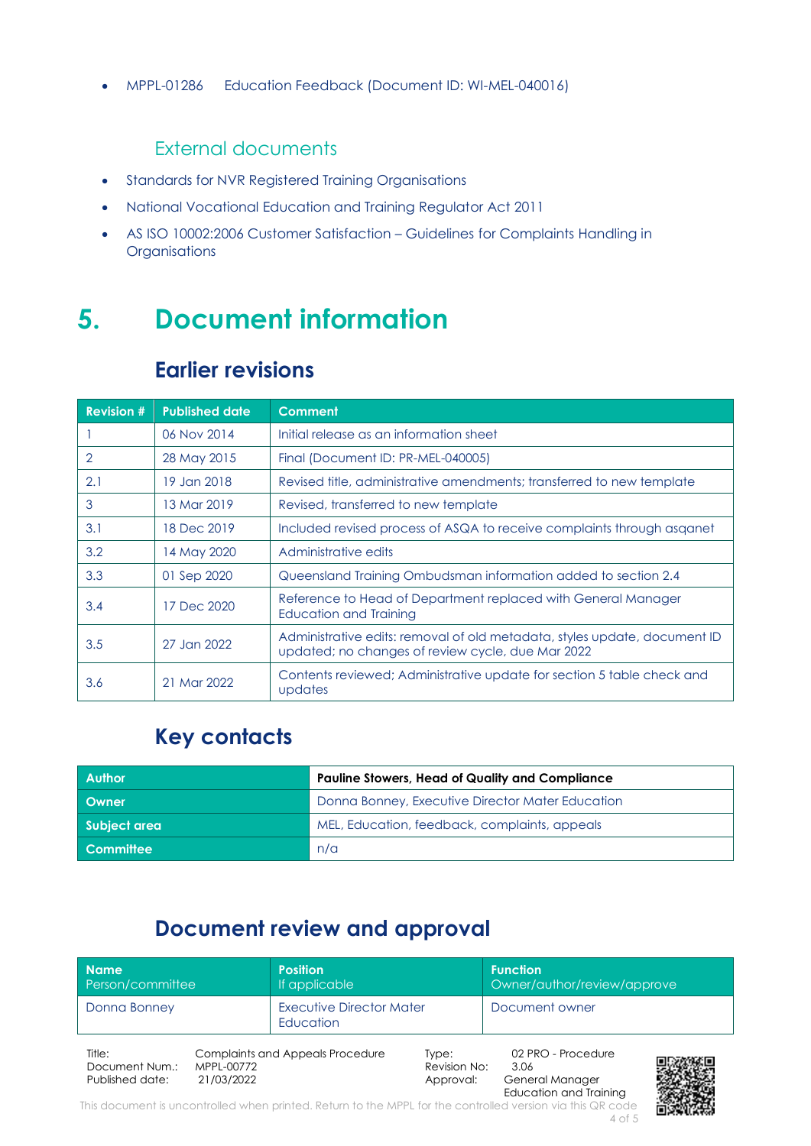• MPPL-01286 Education Feedback (Document ID: WI-MEL-040016)

#### External documents

- Standards for NVR Registered Training Organisations
- National Vocational Education and Training Regulator Act 2011
- AS ISO 10002:2006 Customer Satisfaction Guidelines for Complaints Handling in **Organisations**

### <span id="page-3-0"></span>**5. Document information**

#### **Earlier revisions**

| <b>Revision #</b> | <b>Published date</b> | <b>Comment</b>                                                                                                                 |
|-------------------|-----------------------|--------------------------------------------------------------------------------------------------------------------------------|
|                   | 06 Nov 2014           | Initial release as an information sheet                                                                                        |
| 2                 | 28 May 2015           | Final (Document ID: PR-MEL-040005)                                                                                             |
| 2.1               | 19 Jan 2018           | Revised title, administrative amendments; transferred to new template                                                          |
| 3                 | 13 Mar 2019           | Revised, transferred to new template                                                                                           |
| 3.1               | 18 Dec 2019           | Included revised process of ASQA to receive complaints through asganet                                                         |
| 3.2               | 14 May 2020           | Administrative edits                                                                                                           |
| 3.3               | 01 Sep 2020           | Queensland Training Ombudsman information added to section 2.4                                                                 |
| 3.4               | 17 Dec 2020           | Reference to Head of Department replaced with General Manager<br>Education and Training                                        |
| 3.5               | 27 Jan 2022           | Administrative edits: removal of old metadata, styles update, document ID<br>updated; no changes of review cycle, due Mar 2022 |
| 3.6               | 21 Mar 2022           | Contents reviewed; Administrative update for section 5 table check and<br>updates                                              |

### **Key contacts**

| <b>Author</b> | <b>Pauline Stowers, Head of Quality and Compliance</b> |
|---------------|--------------------------------------------------------|
| Owner         | Donna Bonney, Executive Director Mater Education       |
| Subject area  | MEL, Education, feedback, complaints, appeals          |
| Committee     | n/a                                                    |

### **Document review and approval**

| <b>Name</b><br>Person/committee             |                          | <b>Position</b><br>If applicable        |                                    | <b>Function</b><br>Owner/author/review/approve |  |
|---------------------------------------------|--------------------------|-----------------------------------------|------------------------------------|------------------------------------------------|--|
| Donna Bonney                                |                          | Executive Director Mater<br>Education   |                                    | Document owner                                 |  |
| Title:<br>Document Num.:<br>Published date: | MPPL-00772<br>21/03/2022 | <b>Complaints and Appeals Procedure</b> | Type:<br>Revision No:<br>Approval: | 02 PRO - Procedure<br>3.06<br>General Manager  |  |

This document is uncontrolled when printed. Return to the MPPL for the controlled version via this QR code 4 of 5



Education and Training